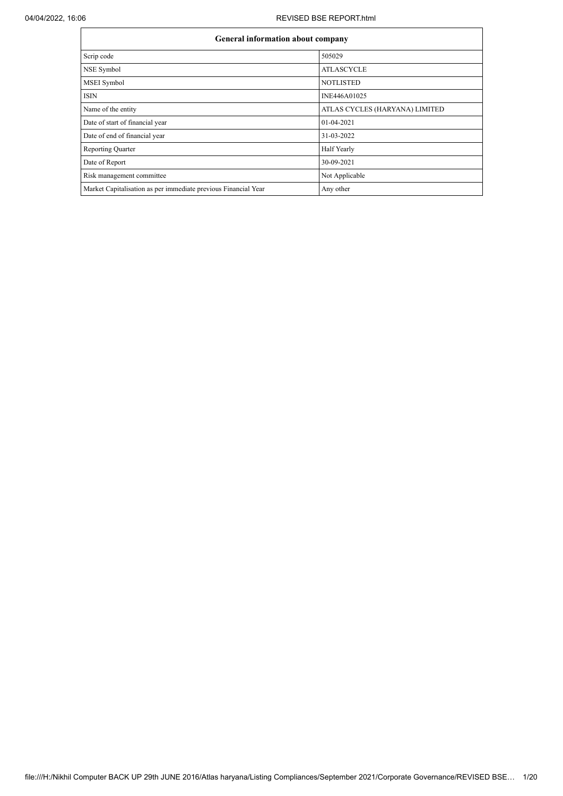## 04/04/2022, 16:06 REVISED BSE REPORT.html

| <b>General information about company</b>                       |                                |
|----------------------------------------------------------------|--------------------------------|
| Scrip code                                                     | 505029                         |
| NSE Symbol                                                     | <b>ATLASCYCLE</b>              |
| MSEI Symbol                                                    | <b>NOTLISTED</b>               |
| <b>ISIN</b>                                                    | INE446A01025                   |
| Name of the entity                                             | ATLAS CYCLES (HARYANA) LIMITED |
| Date of start of financial year                                | 01-04-2021                     |
| Date of end of financial year                                  | 31-03-2022                     |
| <b>Reporting Quarter</b>                                       | Half Yearly                    |
| Date of Report                                                 | 30-09-2021                     |
| Risk management committee                                      | Not Applicable                 |
| Market Capitalisation as per immediate previous Financial Year | Any other                      |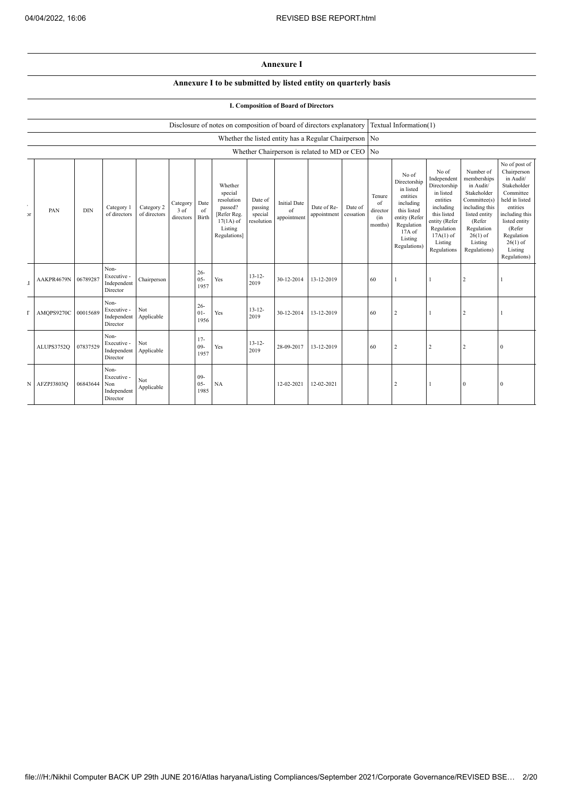## **Annexure I**

# **Annexure I to be submitted by listed entity on quarterly basis**

## **I. Composition of Board of Directors**

## Disclosure of notes on composition of board of directors explanatory Textual Information(1)

|                         |            |            |                                                       |                            |                                 |                          |                                                                                                      |                                             |                                                  | Whether the listed entity has a Regular Chairperson   No |                      |                                            |                                                                                                                                                  |                                                                                                                                                                   |                                                                                                                                                                          |                                                                                                                                                                                                         |
|-------------------------|------------|------------|-------------------------------------------------------|----------------------------|---------------------------------|--------------------------|------------------------------------------------------------------------------------------------------|---------------------------------------------|--------------------------------------------------|----------------------------------------------------------|----------------------|--------------------------------------------|--------------------------------------------------------------------------------------------------------------------------------------------------|-------------------------------------------------------------------------------------------------------------------------------------------------------------------|--------------------------------------------------------------------------------------------------------------------------------------------------------------------------|---------------------------------------------------------------------------------------------------------------------------------------------------------------------------------------------------------|
|                         |            |            |                                                       |                            |                                 |                          |                                                                                                      |                                             |                                                  | Whether Chairperson is related to MD or CEO No           |                      |                                            |                                                                                                                                                  |                                                                                                                                                                   |                                                                                                                                                                          |                                                                                                                                                                                                         |
| $\sim$<br>$\mathcal{F}$ | PAN        | <b>DIN</b> | Category 1<br>of directors                            | Category 2<br>of directors | Category  <br>3 of<br>directors | Date<br>of<br>Birth      | Whether<br>special<br>resolution<br>passed?<br>[Refer Reg.<br>$17(1A)$ of<br>Listing<br>Regulations] | Date of<br>passing<br>special<br>resolution | <b>Initial Date</b><br>$\sigma$ f<br>appointment | Date of Re-<br>appointment                               | Date of<br>cessation | Tenure<br>of<br>director<br>(in<br>months) | No of<br>Directorship<br>in listed<br>entities<br>including<br>this listed<br>entity (Refer<br>Regulation<br>$17A$ of<br>Listing<br>Regulations) | No of<br>Independent<br>Directorship<br>in listed<br>entities<br>including<br>this listed<br>entity (Refer<br>Regulation<br>$17A(1)$ of<br>Listing<br>Regulations | Number of<br>memberships<br>in Audit/<br>Stakeholder<br>Committee(s)<br>including this<br>listed entity<br>(Refer<br>Regulation<br>$26(1)$ of<br>Listing<br>Regulations) | No of post of<br>Chairperson<br>in Audit/<br>Stakeholder<br>Committee<br>held in listed<br>entities<br>including this<br>listed entity<br>(Refer<br>Regulation<br>$26(1)$ of<br>Listing<br>Regulations) |
| $\mathbf I$             | AAKPR4679N | 06789287   | Non-<br>Executive -<br>Independent<br>Director        | Chairperson                |                                 | $26 -$<br>$05 -$<br>1957 | Yes                                                                                                  | $13 - 12 -$<br>2019                         | 30-12-2014                                       | 13-12-2019                                               |                      | 60                                         |                                                                                                                                                  |                                                                                                                                                                   | $\overline{2}$                                                                                                                                                           |                                                                                                                                                                                                         |
| г                       | AMQPS9270C | 00015689   | Non-<br>Executive -<br>Independent<br>Director        | Not<br>Applicable          |                                 | $26 -$<br>$01-$<br>1956  | Yes                                                                                                  | $13 - 12 -$<br>2019                         | 30-12-2014                                       | 13-12-2019                                               |                      | 60                                         | $\overline{2}$                                                                                                                                   |                                                                                                                                                                   | $\overline{2}$                                                                                                                                                           |                                                                                                                                                                                                         |
|                         | ALUPS3752Q | 07837529   | Non-<br>Executive -<br>Independent<br>Director        | Not<br>Applicable          |                                 | $17 -$<br>$09 -$<br>1957 | Yes                                                                                                  | $13 - 12 -$<br>2019                         | 28-09-2017                                       | 13-12-2019                                               |                      | 60                                         | $\overline{2}$                                                                                                                                   | $\overline{2}$                                                                                                                                                    | $\overline{2}$                                                                                                                                                           | $\mathbf{0}$                                                                                                                                                                                            |
| N                       | AFZPJ3803Q | 06843644   | Non-<br>Executive -<br>Non<br>Independent<br>Director | Not<br>Applicable          |                                 | $09 -$<br>$05 -$<br>1985 | NA                                                                                                   |                                             | 12-02-2021                                       | 12-02-2021                                               |                      |                                            |                                                                                                                                                  |                                                                                                                                                                   | $\theta$                                                                                                                                                                 | $\boldsymbol{0}$                                                                                                                                                                                        |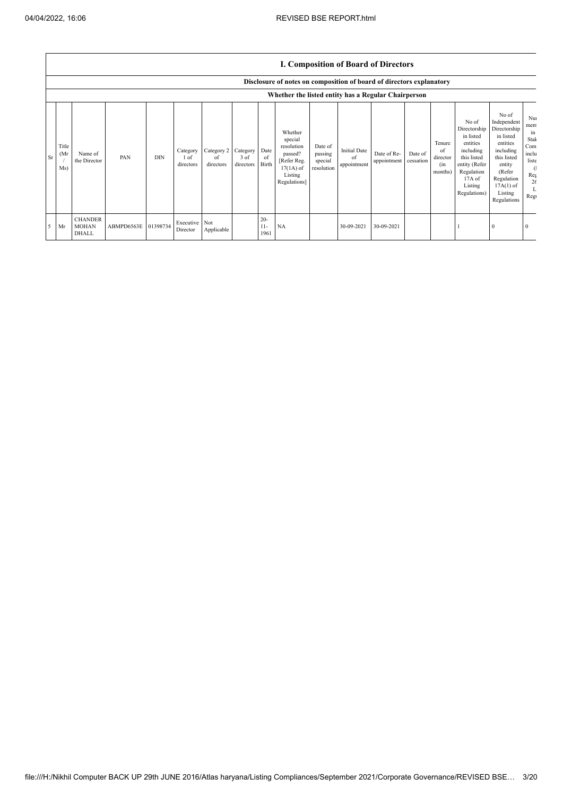|           |                                                     | <b>I. Composition of Board of Directors</b>                          |            |            |                               |                               |                               |                         |                                                                                                      |                                             |                                          |                            |                      |                                            |                                                                                                                                                |                                                                                                                                                                      |                                                                                 |
|-----------|-----------------------------------------------------|----------------------------------------------------------------------|------------|------------|-------------------------------|-------------------------------|-------------------------------|-------------------------|------------------------------------------------------------------------------------------------------|---------------------------------------------|------------------------------------------|----------------------------|----------------------|--------------------------------------------|------------------------------------------------------------------------------------------------------------------------------------------------|----------------------------------------------------------------------------------------------------------------------------------------------------------------------|---------------------------------------------------------------------------------|
|           |                                                     | Disclosure of notes on composition of board of directors explanatory |            |            |                               |                               |                               |                         |                                                                                                      |                                             |                                          |                            |                      |                                            |                                                                                                                                                |                                                                                                                                                                      |                                                                                 |
|           | Whether the listed entity has a Regular Chairperson |                                                                      |            |            |                               |                               |                               |                         |                                                                                                      |                                             |                                          |                            |                      |                                            |                                                                                                                                                |                                                                                                                                                                      |                                                                                 |
| <b>Sr</b> | Title<br>(Mr)<br>Ms)                                | Name of<br>the Director                                              | PAN        | <b>DIN</b> | Category<br>1 of<br>directors | Category 2<br>of<br>directors | Category<br>3 of<br>directors | Date<br>of<br>Birth     | Whether<br>special<br>resolution<br>passed?<br>[Refer Reg.<br>$17(1A)$ of<br>Listing<br>Regulations] | Date of<br>passing<br>special<br>resolution | <b>Initial Date</b><br>of<br>appointment | Date of Re-<br>appointment | Date of<br>cessation | Tenure<br>of<br>director<br>(in<br>months) | No of<br>Directorship<br>in listed<br>entities<br>including<br>this listed<br>entity (Refer<br>Regulation<br>17A of<br>Listing<br>Regulations) | No of<br>Independent<br>Directorship<br>in listed<br>entities<br>including<br>this listed<br>entity<br>(Refer<br>Regulation<br>$17A(1)$ of<br>Listing<br>Regulations | Nu<br>mem<br>in<br>Stak<br>Com<br>inclu<br>liste<br>-0<br>Reg<br>26<br>L<br>Reg |
| .5        | Mr                                                  | <b>CHANDER</b><br><b>MOHAN</b><br><b>DHALL</b>                       | ABMPD6563E | 01398734   | Executive<br>Director         | Not<br>Applicable             |                               | $20 -$<br>$11-$<br>1961 | NA                                                                                                   |                                             | 30-09-2021                               | 30-09-2021                 |                      |                                            |                                                                                                                                                | $\theta$                                                                                                                                                             |                                                                                 |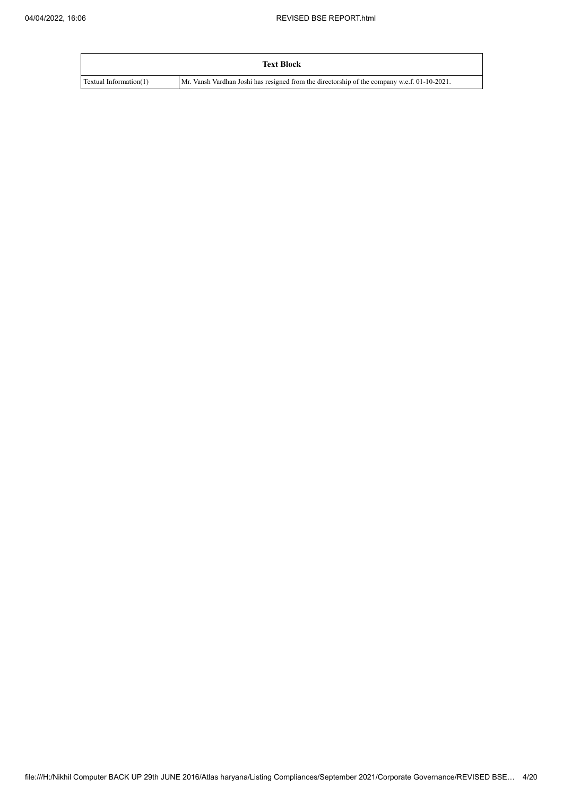|                        | <b>Text Block</b>                                                                            |
|------------------------|----------------------------------------------------------------------------------------------|
| Textual Information(1) | Mr. Vansh Vardhan Joshi has resigned from the directorship of the company w.e.f. 01-10-2021. |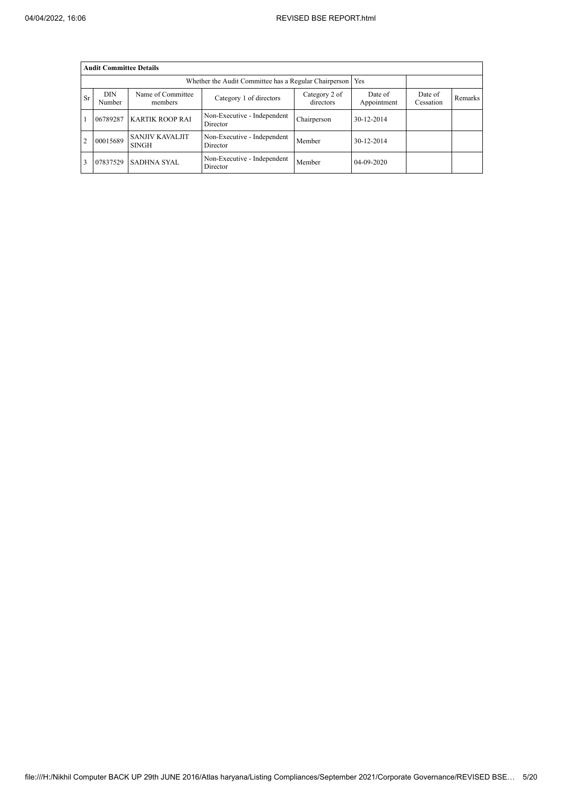|           | <b>Audit Committee Details</b> |                                 |                                         |             |            |  |  |  |  |  |  |  |
|-----------|--------------------------------|---------------------------------|-----------------------------------------|-------------|------------|--|--|--|--|--|--|--|
|           |                                |                                 |                                         |             |            |  |  |  |  |  |  |  |
| <b>Sr</b> | <b>DIN</b><br>Number           | Date of<br>Cessation            | Remarks                                 |             |            |  |  |  |  |  |  |  |
|           | 06789287                       | <b>KARTIK ROOP RAI</b>          | Non-Executive - Independent<br>Director | Chairperson | 30-12-2014 |  |  |  |  |  |  |  |
|           | 00015689                       | <b>SANJIV KAVALJIT</b><br>SINGH | Non-Executive - Independent<br>Director | Member      | 30-12-2014 |  |  |  |  |  |  |  |
|           | 07837529                       | <b>SADHNA SYAL</b>              | Non-Executive - Independent<br>Director | Member      | 04-09-2020 |  |  |  |  |  |  |  |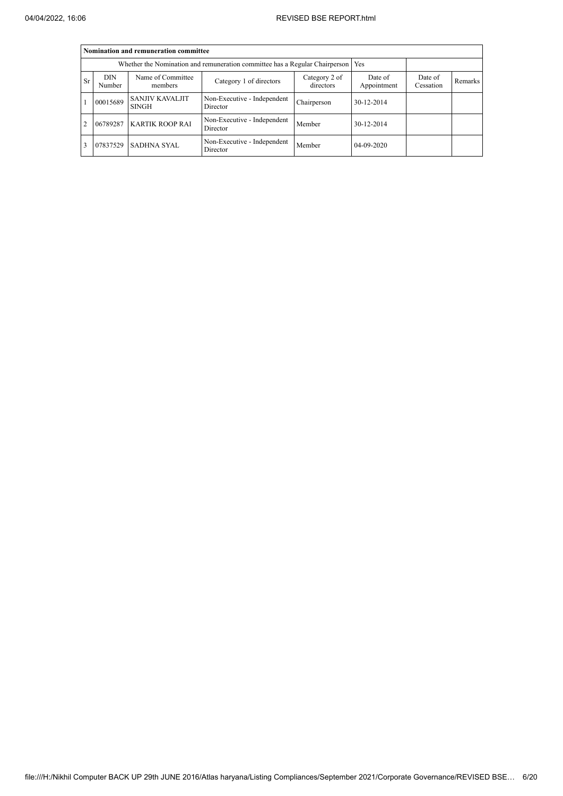|           |                                                                                   | Nomination and remuneration committee  |                                         |                            |                        |                      |         |  |  |  |  |  |
|-----------|-----------------------------------------------------------------------------------|----------------------------------------|-----------------------------------------|----------------------------|------------------------|----------------------|---------|--|--|--|--|--|
|           | Whether the Nomination and remuneration committee has a Regular Chairperson   Yes |                                        |                                         |                            |                        |                      |         |  |  |  |  |  |
| <b>Sr</b> | <b>DIN</b><br>Number                                                              | Name of Committee<br>members           | Category 1 of directors                 | Category 2 of<br>directors | Date of<br>Appointment | Date of<br>Cessation | Remarks |  |  |  |  |  |
|           | 00015689                                                                          | <b>SANJIV KAVALJIT</b><br><b>SINGH</b> | Non-Executive - Independent<br>Director | Chairperson                | 30-12-2014             |                      |         |  |  |  |  |  |
| 2         | 06789287                                                                          | <b>KARTIK ROOP RAI</b>                 | Non-Executive - Independent<br>Director | Member                     | 30-12-2014             |                      |         |  |  |  |  |  |
| 3         | 07837529                                                                          | <b>SADHNA SYAL</b>                     | Non-Executive - Independent<br>Director | Member                     | 04-09-2020             |                      |         |  |  |  |  |  |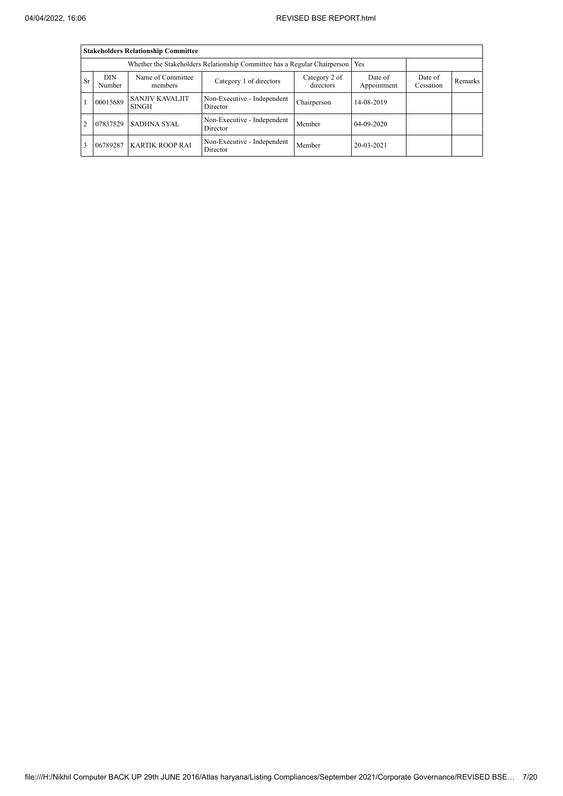|                                                                                                                                                                                         |                                                                                 | <b>Stakeholders Relationship Committee</b> |                                         |             |            |  |  |  |  |
|-----------------------------------------------------------------------------------------------------------------------------------------------------------------------------------------|---------------------------------------------------------------------------------|--------------------------------------------|-----------------------------------------|-------------|------------|--|--|--|--|
|                                                                                                                                                                                         | Whether the Stakeholders Relationship Committee has a Regular Chairperson   Yes |                                            |                                         |             |            |  |  |  |  |
| <b>DIN</b><br>Name of Committee<br>Date of<br>Category 2 of<br>Date of<br><b>Sr</b><br>Category 1 of directors<br>Remarks<br>directors<br>Appointment<br>Cessation<br>Number<br>members |                                                                                 |                                            |                                         |             |            |  |  |  |  |
|                                                                                                                                                                                         | 00015689                                                                        | <b>SANJIV KAVALJIT</b><br><b>SINGH</b>     | Non-Executive - Independent<br>Director | Chairperson | 14-08-2019 |  |  |  |  |
| $\overline{2}$                                                                                                                                                                          | 07837529                                                                        | SADHNA SYAL                                | Non-Executive - Independent<br>Director | Member      | 04-09-2020 |  |  |  |  |
| 3                                                                                                                                                                                       | 06789287                                                                        | <b>KARTIK ROOP RAI</b>                     | Non-Executive - Independent<br>Director | Member      | 20-03-2021 |  |  |  |  |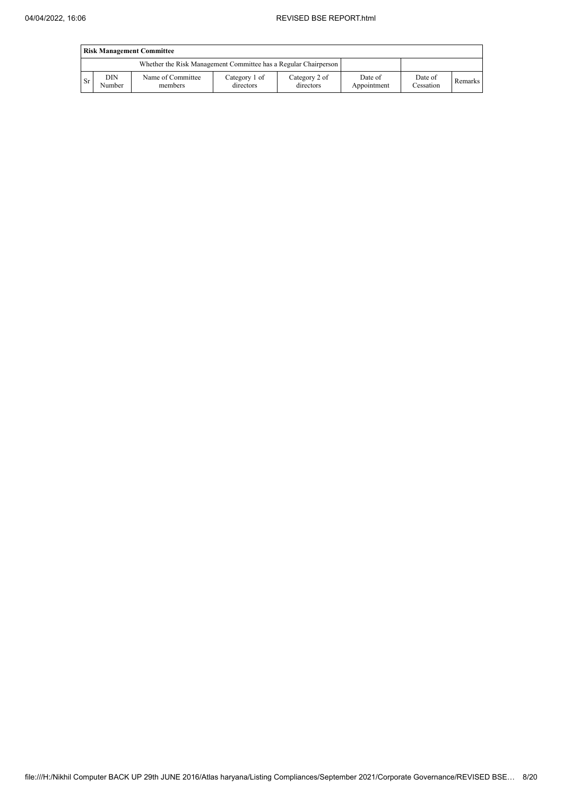|           | <b>Risk Management Committee</b> |                                                                 |                            |                            |                        |                      |         |  |  |  |  |  |  |
|-----------|----------------------------------|-----------------------------------------------------------------|----------------------------|----------------------------|------------------------|----------------------|---------|--|--|--|--|--|--|
|           |                                  | Whether the Risk Management Committee has a Regular Chairperson |                            |                            |                        |                      |         |  |  |  |  |  |  |
| <b>Sr</b> | DIN<br>Number                    | Name of Committee<br>members                                    | Category 1 of<br>directors | Category 2 of<br>directors | Date of<br>Appointment | Date of<br>Cessation | Remarks |  |  |  |  |  |  |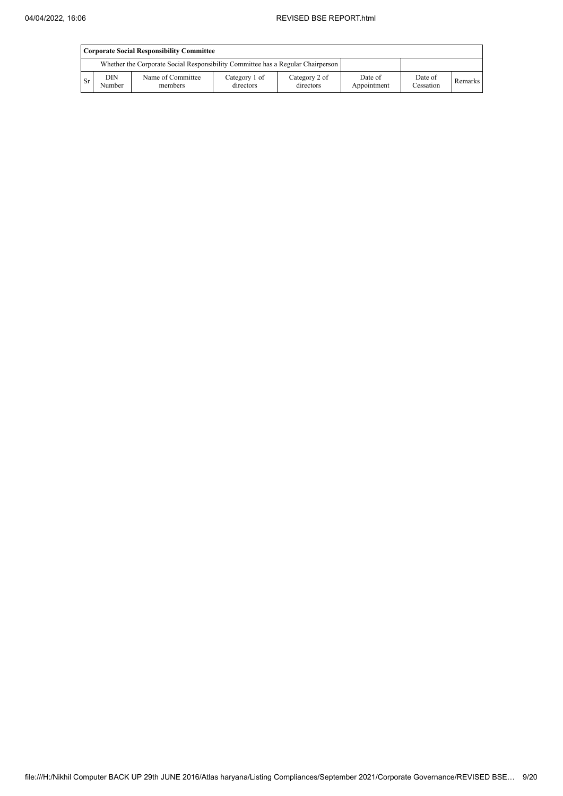|                                                                                 | <b>Corporate Social Responsibility Committee</b> |                              |                            |                            |                        |                      |         |  |  |  |  |  |  |
|---------------------------------------------------------------------------------|--------------------------------------------------|------------------------------|----------------------------|----------------------------|------------------------|----------------------|---------|--|--|--|--|--|--|
| Whether the Corporate Social Responsibility Committee has a Regular Chairperson |                                                  |                              |                            |                            |                        |                      |         |  |  |  |  |  |  |
| <b>Sr</b>                                                                       | <b>DIN</b><br>Number                             | Name of Committee<br>members | Category 1 of<br>directors | Category 2 of<br>directors | Date of<br>Appointment | Date of<br>Cessation | Remarks |  |  |  |  |  |  |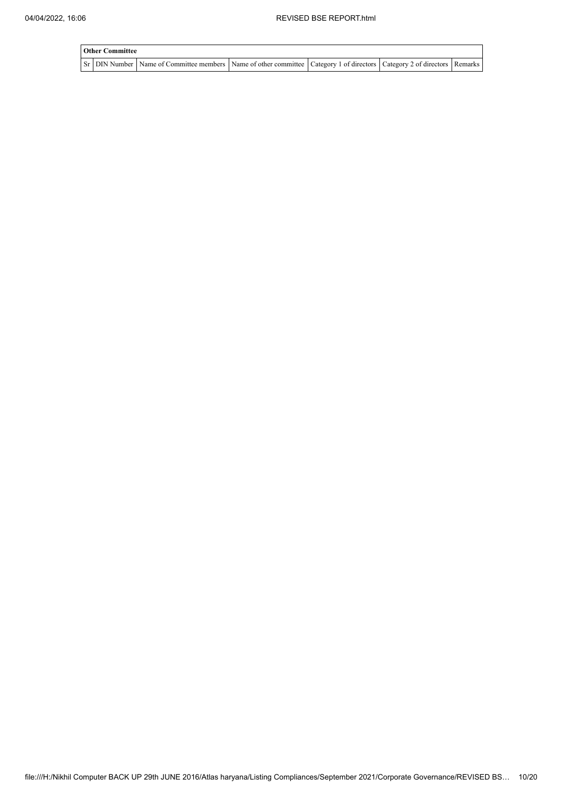| <b>Other Committee</b> |                                                                                                                                       |  |  |  |  |  |  |  |  |  |
|------------------------|---------------------------------------------------------------------------------------------------------------------------------------|--|--|--|--|--|--|--|--|--|
|                        | Sr   DIN Number   Name of Committee members   Name of other committee   Category 1 of directors   Category 2 of directors   Remarks ' |  |  |  |  |  |  |  |  |  |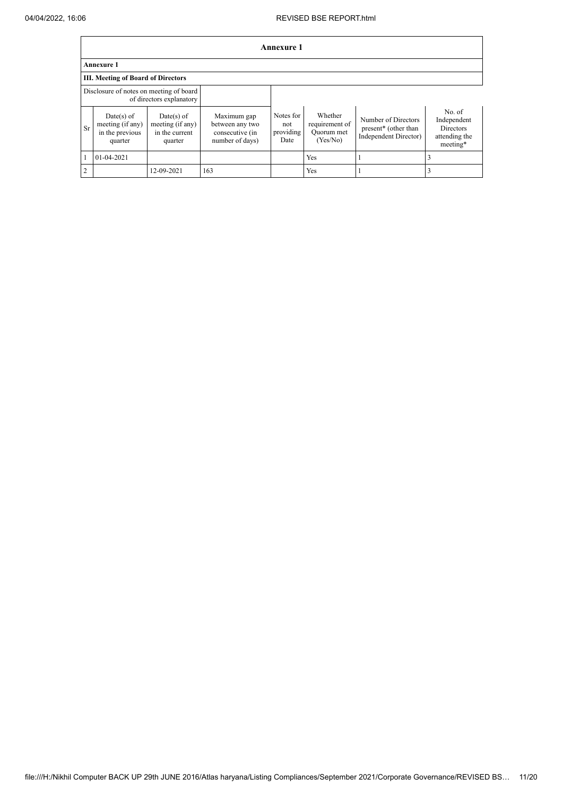|                | <b>Annexure 1</b>                                                   |                                                               |                                                                      |                                       |                                                     |                                                                                  |                                                                        |  |  |  |  |  |
|----------------|---------------------------------------------------------------------|---------------------------------------------------------------|----------------------------------------------------------------------|---------------------------------------|-----------------------------------------------------|----------------------------------------------------------------------------------|------------------------------------------------------------------------|--|--|--|--|--|
|                | <b>Annexure 1</b>                                                   |                                                               |                                                                      |                                       |                                                     |                                                                                  |                                                                        |  |  |  |  |  |
|                | III. Meeting of Board of Directors                                  |                                                               |                                                                      |                                       |                                                     |                                                                                  |                                                                        |  |  |  |  |  |
|                | Disclosure of notes on meeting of board<br>of directors explanatory |                                                               |                                                                      |                                       |                                                     |                                                                                  |                                                                        |  |  |  |  |  |
| Sr             | $Date(s)$ of<br>meeting (if any)<br>in the previous<br>quarter      | $Date(s)$ of<br>meeting (if any)<br>in the current<br>quarter | Maximum gap<br>between any two<br>consecutive (in<br>number of days) | Notes for<br>not<br>providing<br>Date | Whether<br>requirement of<br>Quorum met<br>(Yes/No) | Number of Directors<br>present <sup>*</sup> (other than<br>Independent Director) | No. of<br>Independent<br><b>Directors</b><br>attending the<br>meeting* |  |  |  |  |  |
|                | $01-04-2021$                                                        |                                                               |                                                                      |                                       | Yes                                                 |                                                                                  |                                                                        |  |  |  |  |  |
| $\overline{2}$ |                                                                     | 12-09-2021                                                    | 163                                                                  |                                       | Yes                                                 |                                                                                  |                                                                        |  |  |  |  |  |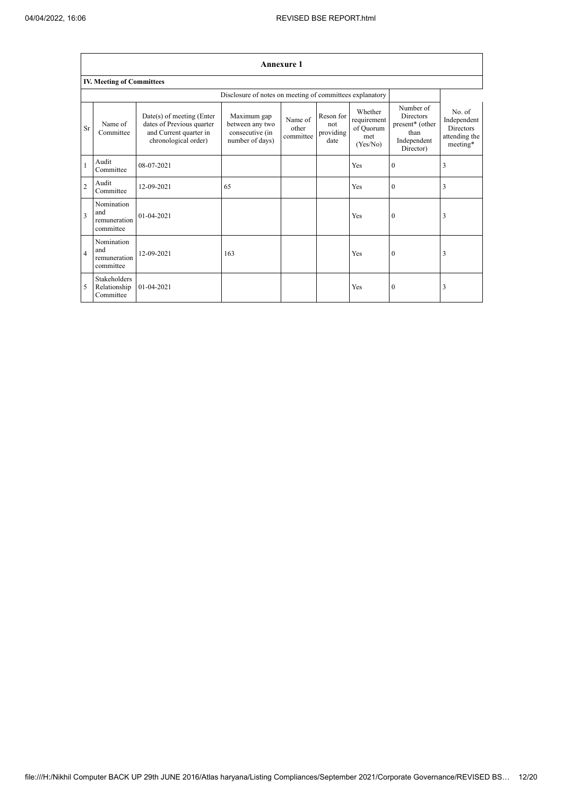$\overline{\mathsf{I}}$ 

|                | <b>Annexure 1</b>                              |                                                                                                            |                                                                      |                               |                                       |                                                        |                                                                                      |                                                                        |  |  |  |  |
|----------------|------------------------------------------------|------------------------------------------------------------------------------------------------------------|----------------------------------------------------------------------|-------------------------------|---------------------------------------|--------------------------------------------------------|--------------------------------------------------------------------------------------|------------------------------------------------------------------------|--|--|--|--|
|                | <b>IV. Meeting of Committees</b>               |                                                                                                            |                                                                      |                               |                                       |                                                        |                                                                                      |                                                                        |  |  |  |  |
|                |                                                |                                                                                                            | Disclosure of notes on meeting of committees explanatory             |                               |                                       |                                                        |                                                                                      |                                                                        |  |  |  |  |
| Sr             | Name of<br>Committee                           | $Date(s)$ of meeting (Enter<br>dates of Previous quarter<br>and Current quarter in<br>chronological order) | Maximum gap<br>between any two<br>consecutive (in<br>number of days) | Name of<br>other<br>committee | Reson for<br>not<br>providing<br>date | Whether<br>requirement<br>of Quorum<br>met<br>(Yes/No) | Number of<br><b>Directors</b><br>present* (other<br>than<br>Independent<br>Director) | No. of<br>Independent<br><b>Directors</b><br>attending the<br>meeting* |  |  |  |  |
| $\mathbf{1}$   | Audit<br>Committee                             | 08-07-2021                                                                                                 |                                                                      |                               |                                       | Yes                                                    | $\mathbf{0}$                                                                         | 3                                                                      |  |  |  |  |
| $\overline{2}$ | Audit<br>Committee                             | 12-09-2021                                                                                                 | 65                                                                   |                               |                                       | Yes                                                    | $\mathbf{0}$                                                                         | 3                                                                      |  |  |  |  |
| $\overline{3}$ | Nomination<br>and<br>remuneration<br>committee | $01 - 04 - 2021$                                                                                           |                                                                      |                               |                                       | Yes                                                    | $\mathbf{0}$                                                                         | 3                                                                      |  |  |  |  |
| $\overline{4}$ | Nomination<br>and<br>remuneration<br>committee | 12-09-2021                                                                                                 | 163                                                                  |                               |                                       | Yes                                                    | $\mathbf{0}$                                                                         | 3                                                                      |  |  |  |  |
| 5              | Stakeholders<br>Relationship<br>Committee      | 01-04-2021                                                                                                 |                                                                      |                               |                                       | Yes                                                    | $\theta$                                                                             | 3                                                                      |  |  |  |  |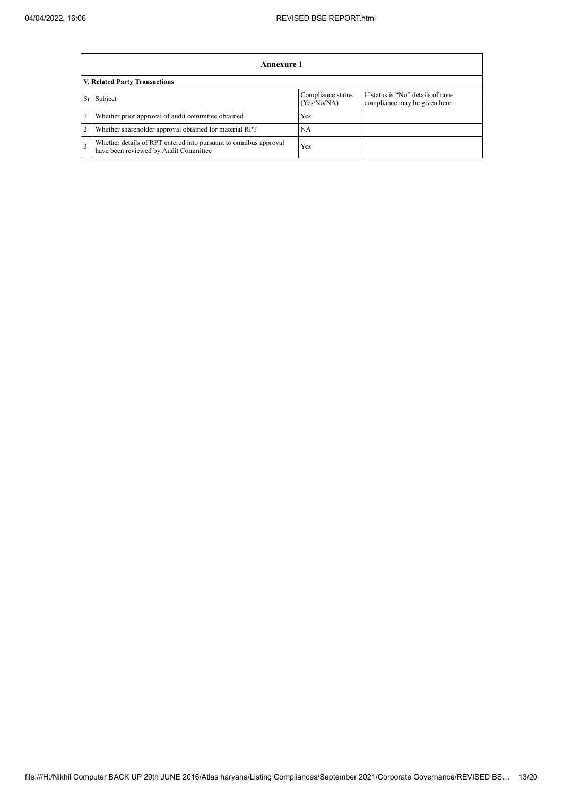|                               | Annexure 1                                                                                                |                                  |                                                                    |
|-------------------------------|-----------------------------------------------------------------------------------------------------------|----------------------------------|--------------------------------------------------------------------|
| V. Related Party Transactions |                                                                                                           |                                  |                                                                    |
| Sr                            | Subject                                                                                                   | Compliance status<br>(Yes/No/NA) | If status is "No" details of non-<br>compliance may be given here. |
|                               | Whether prior approval of audit committee obtained                                                        | Yes                              |                                                                    |
|                               | Whether shareholder approval obtained for material RPT                                                    | NA                               |                                                                    |
|                               | Whether details of RPT entered into pursuant to omnibus approval<br>have been reviewed by Audit Committee | <b>Yes</b>                       |                                                                    |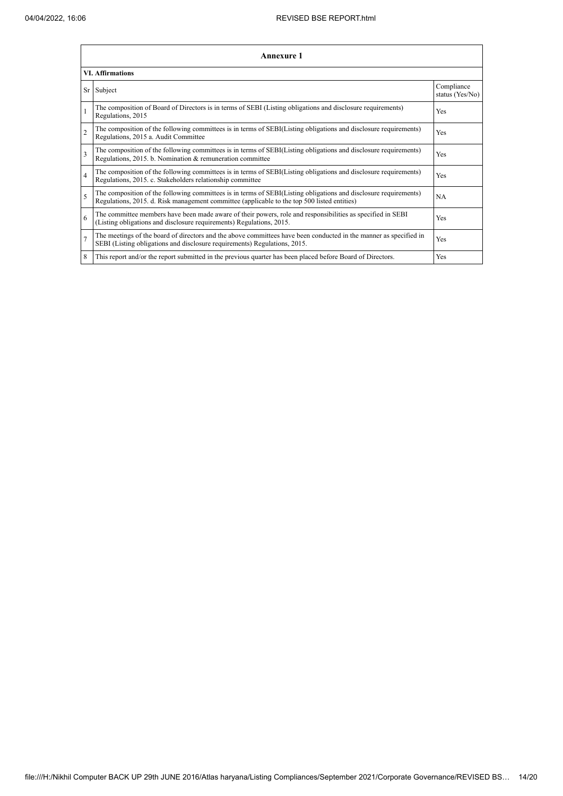|                | <b>Annexure 1</b>                                                                                                                                                                                               |                               |  |
|----------------|-----------------------------------------------------------------------------------------------------------------------------------------------------------------------------------------------------------------|-------------------------------|--|
|                | <b>VI. Affirmations</b>                                                                                                                                                                                         |                               |  |
|                | Sr Subject                                                                                                                                                                                                      | Compliance<br>status (Yes/No) |  |
|                | The composition of Board of Directors is in terms of SEBI (Listing obligations and disclosure requirements)<br>Regulations, 2015                                                                                | Yes                           |  |
| $\overline{2}$ | The composition of the following committees is in terms of SEBI(Listing obligations and disclosure requirements)<br>Regulations, 2015 a. Audit Committee                                                        | Yes                           |  |
| 3              | The composition of the following committees is in terms of SEBI(Listing obligations and disclosure requirements)<br>Regulations, 2015. b. Nomination & remuneration committee                                   | Yes                           |  |
| $\overline{4}$ | The composition of the following committees is in terms of SEBI(Listing obligations and disclosure requirements)<br>Regulations, 2015. c. Stakeholders relationship committee                                   | Yes                           |  |
| 5              | The composition of the following committees is in terms of SEBI(Listing obligations and disclosure requirements)<br>Regulations, 2015. d. Risk management committee (applicable to the top 500 listed entities) | NA                            |  |
| 6              | The committee members have been made aware of their powers, role and responsibilities as specified in SEBI<br>(Listing obligations and disclosure requirements) Regulations, 2015.                              | Yes                           |  |
| $\overline{7}$ | The meetings of the board of directors and the above committees have been conducted in the manner as specified in<br>SEBI (Listing obligations and disclosure requirements) Regulations, 2015.                  | Yes                           |  |
| 8              | This report and/or the report submitted in the previous quarter has been placed before Board of Directors.                                                                                                      | Yes                           |  |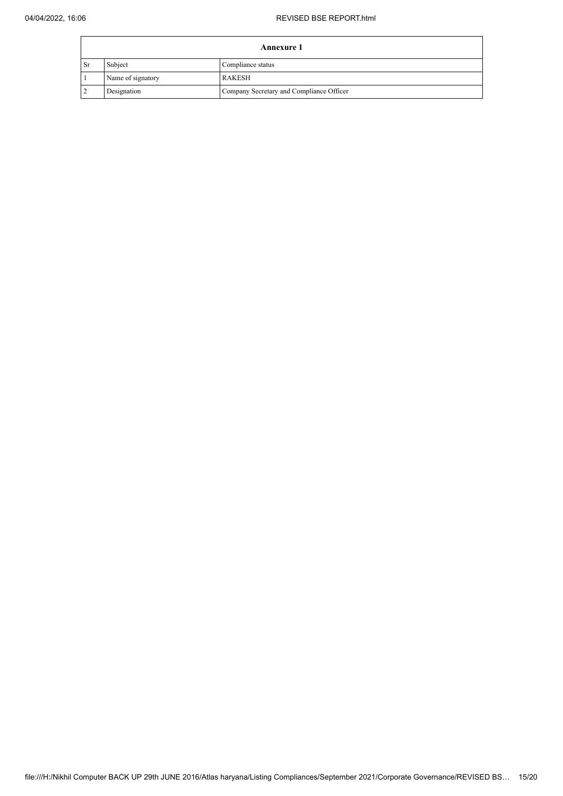| <b>Annexure 1</b> |                   |                                          |
|-------------------|-------------------|------------------------------------------|
| l Sr              | Subject           | Compliance status                        |
|                   | Name of signatory | RAKESH                                   |
|                   | Designation       | Company Secretary and Compliance Officer |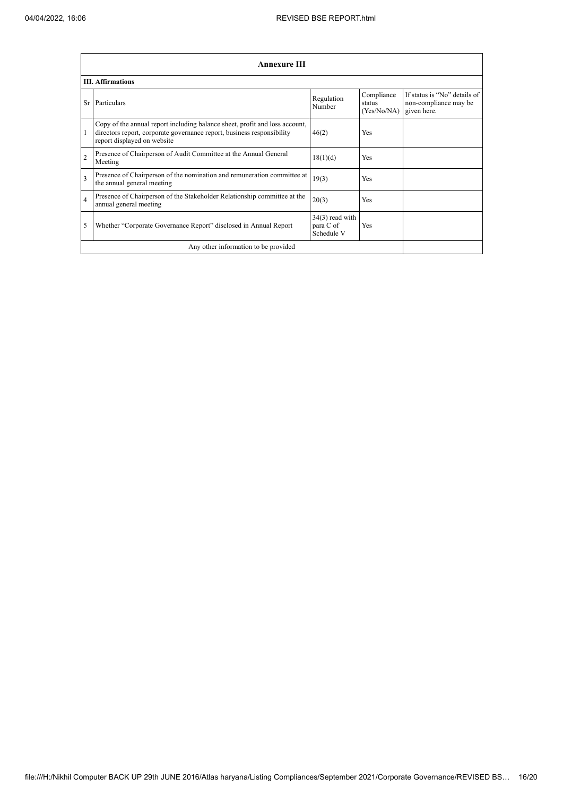|                         | <b>Annexure III</b>                                                                                                                                                                  |                                              |                                     |                                                                      |
|-------------------------|--------------------------------------------------------------------------------------------------------------------------------------------------------------------------------------|----------------------------------------------|-------------------------------------|----------------------------------------------------------------------|
|                         | <b>III.</b> Affirmations                                                                                                                                                             |                                              |                                     |                                                                      |
| Sr                      | Particulars                                                                                                                                                                          | Regulation<br>Number                         | Compliance<br>status<br>(Yes/No/NA) | If status is "No" details of<br>non-compliance may be<br>given here. |
|                         | Copy of the annual report including balance sheet, profit and loss account,<br>directors report, corporate governance report, business responsibility<br>report displayed on website | 46(2)                                        | <b>Yes</b>                          |                                                                      |
| $\overline{2}$          | Presence of Chairperson of Audit Committee at the Annual General<br>Meeting                                                                                                          | 18(1)(d)                                     | <b>Yes</b>                          |                                                                      |
| $\overline{\mathbf{3}}$ | Presence of Chairperson of the nomination and remuneration committee at<br>the annual general meeting                                                                                | 19(3)                                        | <b>Yes</b>                          |                                                                      |
| $\overline{4}$          | Presence of Chairperson of the Stakeholder Relationship committee at the<br>annual general meeting                                                                                   | 20(3)                                        | <b>Yes</b>                          |                                                                      |
| 5                       | Whether "Corporate Governance Report" disclosed in Annual Report                                                                                                                     | $34(3)$ read with<br>para C of<br>Schedule V | Yes                                 |                                                                      |
|                         | Any other information to be provided                                                                                                                                                 |                                              |                                     |                                                                      |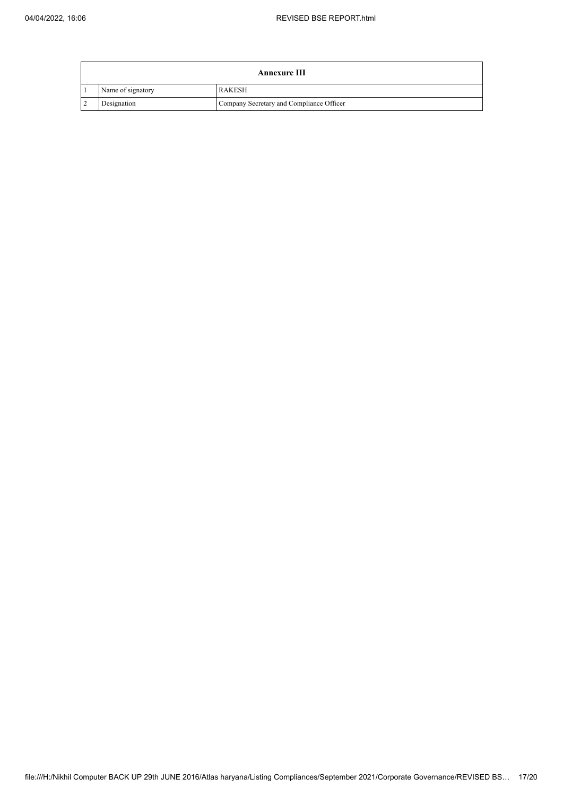|   | <b>Annexure III</b> |                                          |  |
|---|---------------------|------------------------------------------|--|
|   | Name of signatory   | RAKESH                                   |  |
| 2 | Designation         | Company Secretary and Compliance Officer |  |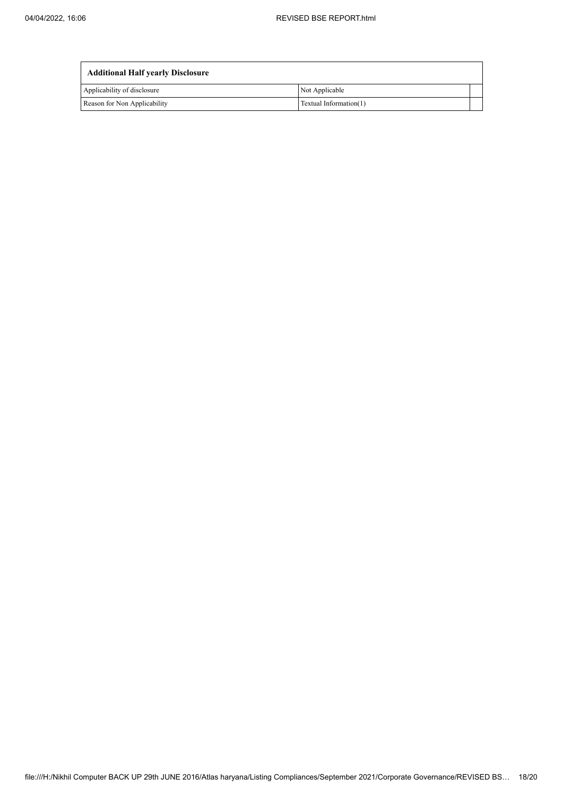| <b>Additional Half yearly Disclosure</b> |                        |  |
|------------------------------------------|------------------------|--|
| Applicability of disclosure              | Not Applicable         |  |
| Reason for Non Applicability             | Textual Information(1) |  |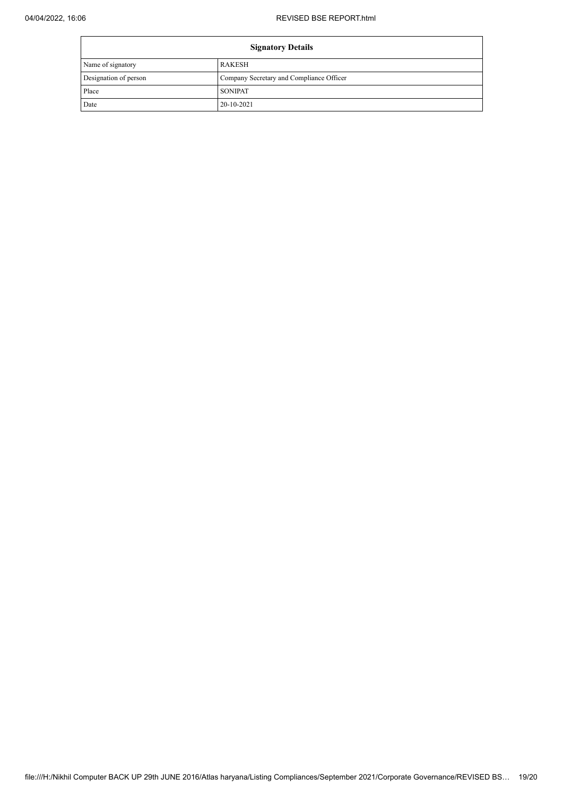| <b>Signatory Details</b> |                                          |
|--------------------------|------------------------------------------|
| Name of signatory        | <b>RAKESH</b>                            |
| Designation of person    | Company Secretary and Compliance Officer |
| Place                    | <b>SONIPAT</b>                           |
| Date                     | 20-10-2021                               |